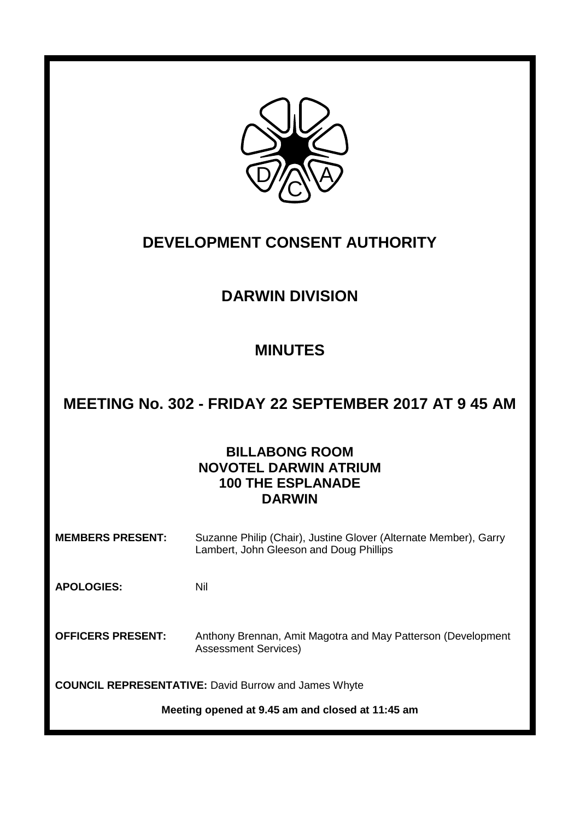

# **DEVELOPMENT CONSENT AUTHORITY**

# **DARWIN DIVISION**

# **MINUTES**

# **MEETING No. 302 - FRIDAY 22 SEPTEMBER 2017 AT 9 45 AM**

# **BILLABONG ROOM NOVOTEL DARWIN ATRIUM 100 THE ESPLANADE DARWIN**

**MEMBERS PRESENT:** Suzanne Philip (Chair), Justine Glover (Alternate Member), Garry Lambert, John Gleeson and Doug Phillips

**APOLOGIES:** Nil

**OFFICERS PRESENT:** Anthony Brennan, Amit Magotra and May Patterson (Development Assessment Services)

**COUNCIL REPRESENTATIVE:** David Burrow and James Whyte

**Meeting opened at 9.45 am and closed at 11:45 am**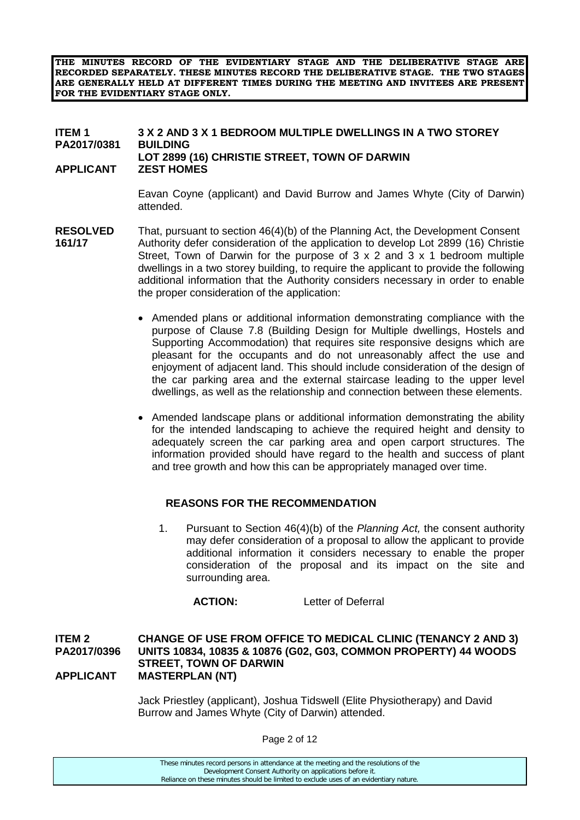**THE MINUTES RECORD OF THE EVIDENTIARY STAGE AND THE DELIBERATIVE STAGE ARE RECORDED SEPARATELY. THESE MINUTES RECORD THE DELIBERATIVE STAGE. THE TWO STAGES ARE GENERALLY HELD AT DIFFERENT TIMES DURING THE MEETING AND INVITEES ARE PRESENT FOR THE EVIDENTIARY STAGE ONLY.**

#### **ITEM 1 3 X 2 AND 3 X 1 BEDROOM MULTIPLE DWELLINGS IN A TWO STOREY PA2017/0381 LOT 2899 (16) CHRISTIE STREET, TOWN OF DARWIN APPLICANT ZEST HOMES**

Eavan Coyne (applicant) and David Burrow and James Whyte (City of Darwin) attended.

- **RESOLVED** That, pursuant to section 46(4)(b) of the Planning Act, the Development Consent **161/17** Authority defer consideration of the application to develop Lot 2899 (16) Christie Street. Town of Darwin for the purpose of  $3 \times 2$  and  $3 \times 1$  bedroom multiple dwellings in a two storey building, to require the applicant to provide the following additional information that the Authority considers necessary in order to enable the proper consideration of the application:
	- Amended plans or additional information demonstrating compliance with the purpose of Clause 7.8 (Building Design for Multiple dwellings, Hostels and Supporting Accommodation) that requires site responsive designs which are pleasant for the occupants and do not unreasonably affect the use and enjoyment of adjacent land. This should include consideration of the design of the car parking area and the external staircase leading to the upper level dwellings, as well as the relationship and connection between these elements.
	- Amended landscape plans or additional information demonstrating the ability for the intended landscaping to achieve the required height and density to adequately screen the car parking area and open carport structures. The information provided should have regard to the health and success of plant and tree growth and how this can be appropriately managed over time.

## **REASONS FOR THE RECOMMENDATION**

1. Pursuant to Section 46(4)(b) of the *Planning Act,* the consent authority may defer consideration of a proposal to allow the applicant to provide additional information it considers necessary to enable the proper consideration of the proposal and its impact on the site and surrounding area.

**ACTION:** Letter of Deferral

### **ITEM 2 CHANGE OF USE FROM OFFICE TO MEDICAL CLINIC (TENANCY 2 AND 3) PA2017/0396 UNITS 10834, 10835 & 10876 (G02, G03, COMMON PROPERTY) 44 WOODS STREET, TOWN OF DARWIN APPLICANT MASTERPLAN (NT)**

Jack Priestley (applicant), Joshua Tidswell (Elite Physiotherapy) and David Burrow and James Whyte (City of Darwin) attended.

Page 2 of 12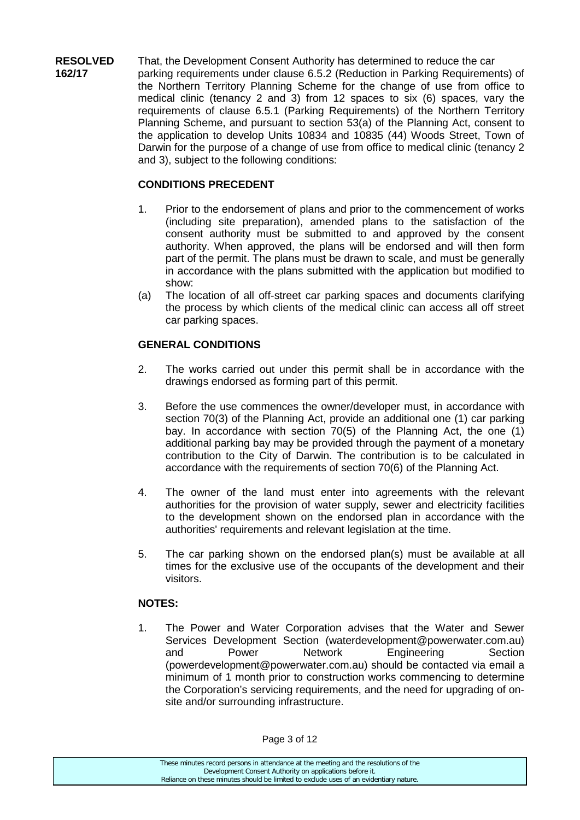**RESOLVED** That, the Development Consent Authority has determined to reduce the car<br>**162/17** expansion requirements under clause 6.5.2 (Reduction in Parking Requirements **162/17** parking requirements under clause 6.5.2 (Reduction in Parking Requirements) of the Northern Territory Planning Scheme for the change of use from office to medical clinic (tenancy 2 and 3) from 12 spaces to six (6) spaces, vary the requirements of clause 6.5.1 (Parking Requirements) of the Northern Territory Planning Scheme, and pursuant to section 53(a) of the Planning Act, consent to the application to develop Units 10834 and 10835 (44) Woods Street, Town of Darwin for the purpose of a change of use from office to medical clinic (tenancy 2 and 3), subject to the following conditions:

# **CONDITIONS PRECEDENT**

- 1. Prior to the endorsement of plans and prior to the commencement of works (including site preparation), amended plans to the satisfaction of the consent authority must be submitted to and approved by the consent authority. When approved, the plans will be endorsed and will then form part of the permit. The plans must be drawn to scale, and must be generally in accordance with the plans submitted with the application but modified to show:
- (a) The location of all off-street car parking spaces and documents clarifying the process by which clients of the medical clinic can access all off street car parking spaces.

# **GENERAL CONDITIONS**

- 2. The works carried out under this permit shall be in accordance with the drawings endorsed as forming part of this permit.
- 3. Before the use commences the owner/developer must, in accordance with section 70(3) of the Planning Act, provide an additional one (1) car parking bay. In accordance with section 70(5) of the Planning Act, the one (1) additional parking bay may be provided through the payment of a monetary contribution to the City of Darwin. The contribution is to be calculated in accordance with the requirements of section 70(6) of the Planning Act.
- 4. The owner of the land must enter into agreements with the relevant authorities for the provision of water supply, sewer and electricity facilities to the development shown on the endorsed plan in accordance with the authorities' requirements and relevant legislation at the time.
- 5. The car parking shown on the endorsed plan(s) must be available at all times for the exclusive use of the occupants of the development and their visitors.

## **NOTES:**

1. The Power and Water Corporation advises that the Water and Sewer Services Development Section (waterdevelopment@powerwater.com.au) and Power Network Engineering Section (powerdevelopment@powerwater.com.au) should be contacted via email a minimum of 1 month prior to construction works commencing to determine the Corporation's servicing requirements, and the need for upgrading of onsite and/or surrounding infrastructure.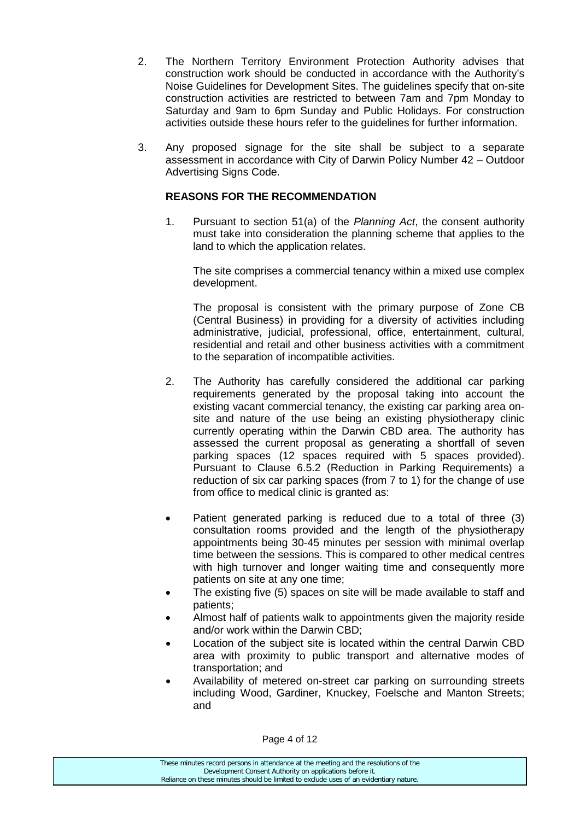- 2. The Northern Territory Environment Protection Authority advises that construction work should be conducted in accordance with the Authority's Noise Guidelines for Development Sites. The guidelines specify that on-site construction activities are restricted to between 7am and 7pm Monday to Saturday and 9am to 6pm Sunday and Public Holidays. For construction activities outside these hours refer to the guidelines for further information.
- 3. Any proposed signage for the site shall be subject to a separate assessment in accordance with City of Darwin Policy Number 42 – Outdoor Advertising Signs Code.

### **REASONS FOR THE RECOMMENDATION**

1. Pursuant to section 51(a) of the *Planning Act*, the consent authority must take into consideration the planning scheme that applies to the land to which the application relates.

The site comprises a commercial tenancy within a mixed use complex development.

The proposal is consistent with the primary purpose of Zone CB (Central Business) in providing for a diversity of activities including administrative, judicial, professional, office, entertainment, cultural, residential and retail and other business activities with a commitment to the separation of incompatible activities.

- 2. The Authority has carefully considered the additional car parking requirements generated by the proposal taking into account the existing vacant commercial tenancy, the existing car parking area onsite and nature of the use being an existing physiotherapy clinic currently operating within the Darwin CBD area. The authority has assessed the current proposal as generating a shortfall of seven parking spaces (12 spaces required with 5 spaces provided). Pursuant to Clause 6.5.2 (Reduction in Parking Requirements) a reduction of six car parking spaces (from 7 to 1) for the change of use from office to medical clinic is granted as:
- Patient generated parking is reduced due to a total of three (3) consultation rooms provided and the length of the physiotherapy appointments being 30-45 minutes per session with minimal overlap time between the sessions. This is compared to other medical centres with high turnover and longer waiting time and consequently more patients on site at any one time;
- The existing five (5) spaces on site will be made available to staff and patients;
- Almost half of patients walk to appointments given the majority reside and/or work within the Darwin CBD;
- Location of the subject site is located within the central Darwin CBD area with proximity to public transport and alternative modes of transportation; and
- Availability of metered on-street car parking on surrounding streets including Wood, Gardiner, Knuckey, Foelsche and Manton Streets; and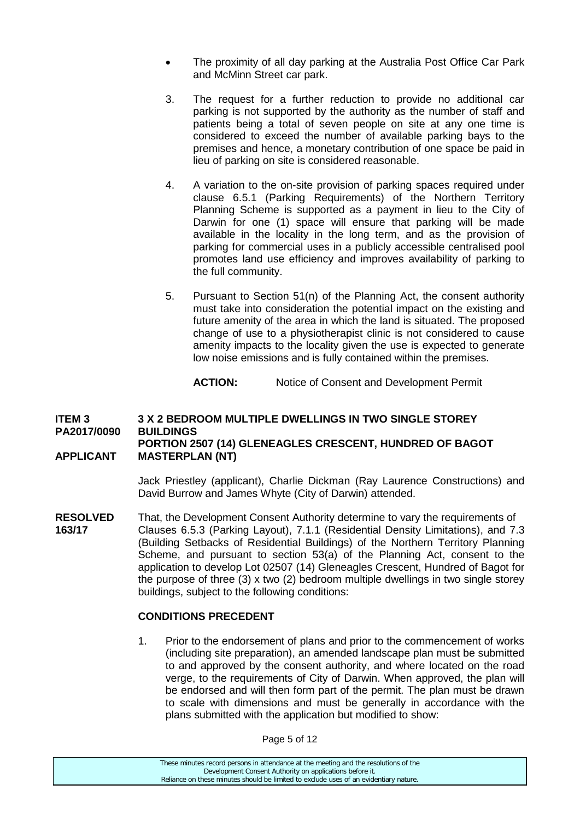- The proximity of all day parking at the Australia Post Office Car Park and McMinn Street car park.
- 3. The request for a further reduction to provide no additional car parking is not supported by the authority as the number of staff and patients being a total of seven people on site at any one time is considered to exceed the number of available parking bays to the premises and hence, a monetary contribution of one space be paid in lieu of parking on site is considered reasonable.
- 4. A variation to the on-site provision of parking spaces required under clause 6.5.1 (Parking Requirements) of the Northern Territory Planning Scheme is supported as a payment in lieu to the City of Darwin for one (1) space will ensure that parking will be made available in the locality in the long term, and as the provision of parking for commercial uses in a publicly accessible centralised pool promotes land use efficiency and improves availability of parking to the full community.
- 5. Pursuant to Section 51(n) of the Planning Act, the consent authority must take into consideration the potential impact on the existing and future amenity of the area in which the land is situated. The proposed change of use to a physiotherapist clinic is not considered to cause amenity impacts to the locality given the use is expected to generate low noise emissions and is fully contained within the premises.

**ACTION:** Notice of Consent and Development Permit

#### **ITEM 3 3 X 2 BEDROOM MULTIPLE DWELLINGS IN TWO SINGLE STOREY PA2017/0090 PORTION 2507 (14) GLENEAGLES CRESCENT, HUNDRED OF BAGOT APPLICANT MASTERPLAN (NT)**

Jack Priestley (applicant), Charlie Dickman (Ray Laurence Constructions) and David Burrow and James Whyte (City of Darwin) attended.

**RESOLVED** That, the Development Consent Authority determine to vary the requirements of **163/17** Clauses 6.5.3 (Parking Lavout), 7.1.1 (Residential Density Limitations), and 7. **163/17** Clauses 6.5.3 (Parking Layout), 7.1.1 (Residential Density Limitations), and 7.3 (Building Setbacks of Residential Buildings) of the Northern Territory Planning Scheme, and pursuant to section 53(a) of the Planning Act, consent to the application to develop Lot 02507 (14) Gleneagles Crescent, Hundred of Bagot for the purpose of three  $(3)$  x two  $(2)$  bedroom multiple dwellings in two single storey buildings, subject to the following conditions:

#### **CONDITIONS PRECEDENT**

1. Prior to the endorsement of plans and prior to the commencement of works (including site preparation), an amended landscape plan must be submitted to and approved by the consent authority, and where located on the road verge, to the requirements of City of Darwin. When approved, the plan will be endorsed and will then form part of the permit. The plan must be drawn to scale with dimensions and must be generally in accordance with the plans submitted with the application but modified to show:

Page 5 of 12

These minutes record persons in attendance at the meeting and the resolutions of the Development Consent Authority on applications before it. Reliance on these minutes should be limited to exclude uses of an evidentiary nature.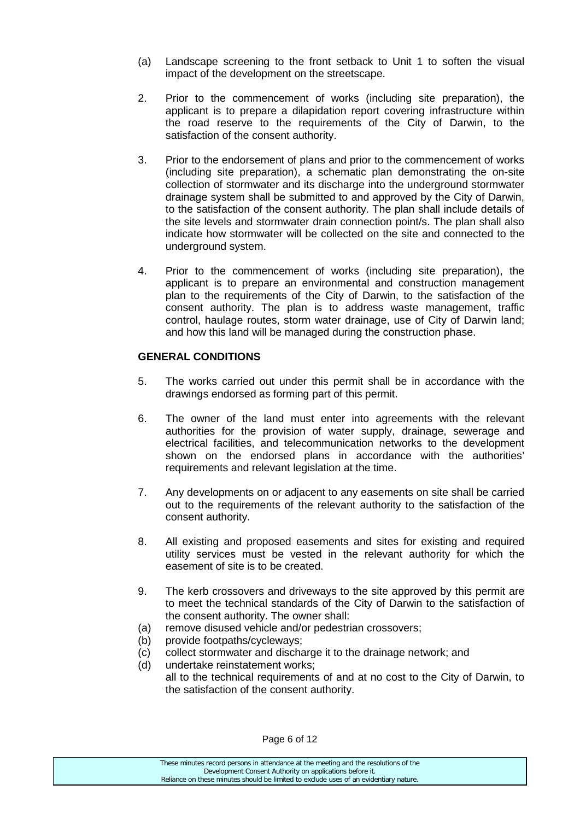- (a) Landscape screening to the front setback to Unit 1 to soften the visual impact of the development on the streetscape.
- 2. Prior to the commencement of works (including site preparation), the applicant is to prepare a dilapidation report covering infrastructure within the road reserve to the requirements of the City of Darwin, to the satisfaction of the consent authority.
- 3. Prior to the endorsement of plans and prior to the commencement of works (including site preparation), a schematic plan demonstrating the on-site collection of stormwater and its discharge into the underground stormwater drainage system shall be submitted to and approved by the City of Darwin, to the satisfaction of the consent authority. The plan shall include details of the site levels and stormwater drain connection point/s. The plan shall also indicate how stormwater will be collected on the site and connected to the underground system.
- 4. Prior to the commencement of works (including site preparation), the applicant is to prepare an environmental and construction management plan to the requirements of the City of Darwin, to the satisfaction of the consent authority. The plan is to address waste management, traffic control, haulage routes, storm water drainage, use of City of Darwin land; and how this land will be managed during the construction phase.

## **GENERAL CONDITIONS**

- 5. The works carried out under this permit shall be in accordance with the drawings endorsed as forming part of this permit.
- 6. The owner of the land must enter into agreements with the relevant authorities for the provision of water supply, drainage, sewerage and electrical facilities, and telecommunication networks to the development shown on the endorsed plans in accordance with the authorities' requirements and relevant legislation at the time.
- 7. Any developments on or adjacent to any easements on site shall be carried out to the requirements of the relevant authority to the satisfaction of the consent authority.
- 8. All existing and proposed easements and sites for existing and required utility services must be vested in the relevant authority for which the easement of site is to be created.
- 9. The kerb crossovers and driveways to the site approved by this permit are to meet the technical standards of the City of Darwin to the satisfaction of the consent authority. The owner shall:
- (a) remove disused vehicle and/or pedestrian crossovers;
- (b) provide footpaths/cycleways;
- (c) collect stormwater and discharge it to the drainage network; and
- (d) undertake reinstatement works; all to the technical requirements of and at no cost to the City of Darwin, to the satisfaction of the consent authority.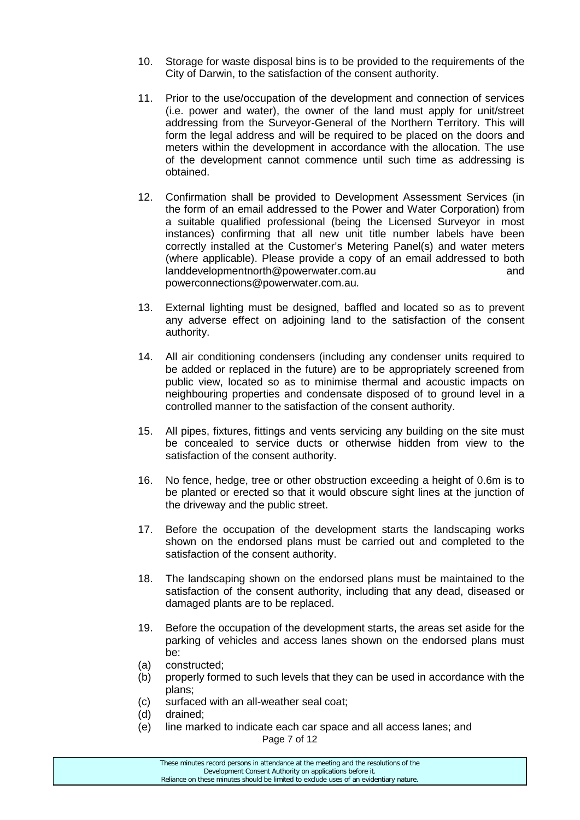- 10. Storage for waste disposal bins is to be provided to the requirements of the City of Darwin, to the satisfaction of the consent authority.
- 11. Prior to the use/occupation of the development and connection of services (i.e. power and water), the owner of the land must apply for unit/street addressing from the Surveyor-General of the Northern Territory. This will form the legal address and will be required to be placed on the doors and meters within the development in accordance with the allocation. The use of the development cannot commence until such time as addressing is obtained.
- 12. Confirmation shall be provided to Development Assessment Services (in the form of an email addressed to the Power and Water Corporation) from a suitable qualified professional (being the Licensed Surveyor in most instances) confirming that all new unit title number labels have been correctly installed at the Customer's Metering Panel(s) and water meters (where applicable). Please provide a copy of an email addressed to both landdevelopmentnorth@powerwater.com.au and powerconnections@powerwater.com.au.
- 13. External lighting must be designed, baffled and located so as to prevent any adverse effect on adjoining land to the satisfaction of the consent authority.
- 14. All air conditioning condensers (including any condenser units required to be added or replaced in the future) are to be appropriately screened from public view, located so as to minimise thermal and acoustic impacts on neighbouring properties and condensate disposed of to ground level in a controlled manner to the satisfaction of the consent authority.
- 15. All pipes, fixtures, fittings and vents servicing any building on the site must be concealed to service ducts or otherwise hidden from view to the satisfaction of the consent authority.
- 16. No fence, hedge, tree or other obstruction exceeding a height of 0.6m is to be planted or erected so that it would obscure sight lines at the junction of the driveway and the public street.
- 17. Before the occupation of the development starts the landscaping works shown on the endorsed plans must be carried out and completed to the satisfaction of the consent authority.
- 18. The landscaping shown on the endorsed plans must be maintained to the satisfaction of the consent authority, including that any dead, diseased or damaged plants are to be replaced.
- 19. Before the occupation of the development starts, the areas set aside for the parking of vehicles and access lanes shown on the endorsed plans must be:
- (a) constructed;
- (b) properly formed to such levels that they can be used in accordance with the plans;
- (c) surfaced with an all-weather seal coat;
- (d) drained;
- Page 7 of 12 (e) line marked to indicate each car space and all access lanes; and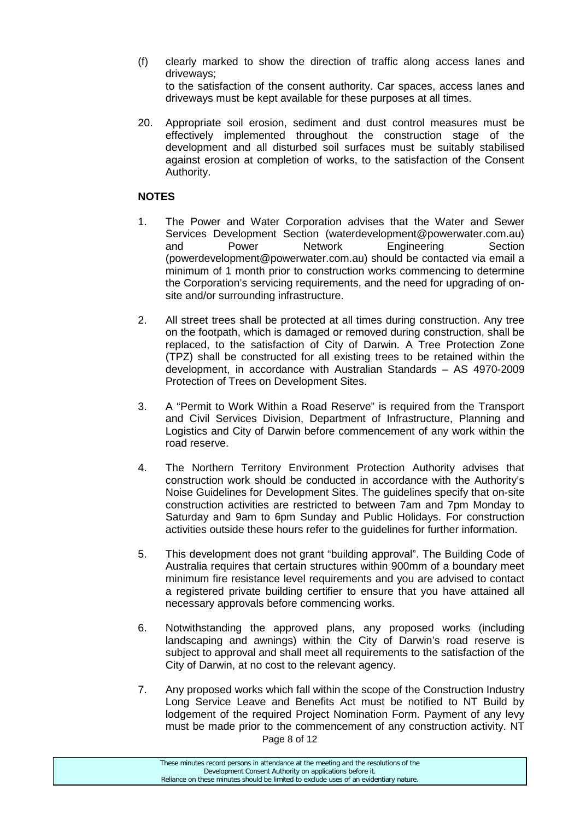- (f) clearly marked to show the direction of traffic along access lanes and driveways; to the satisfaction of the consent authority. Car spaces, access lanes and driveways must be kept available for these purposes at all times.
- 20. Appropriate soil erosion, sediment and dust control measures must be effectively implemented throughout the construction stage of the development and all disturbed soil surfaces must be suitably stabilised against erosion at completion of works, to the satisfaction of the Consent Authority.

#### **NOTES**

- 1. The Power and Water Corporation advises that the Water and Sewer Services Development Section (waterdevelopment@powerwater.com.au) and Power Network Engineering Section (powerdevelopment@powerwater.com.au) should be contacted via email a minimum of 1 month prior to construction works commencing to determine the Corporation's servicing requirements, and the need for upgrading of onsite and/or surrounding infrastructure.
- 2. All street trees shall be protected at all times during construction. Any tree on the footpath, which is damaged or removed during construction, shall be replaced, to the satisfaction of City of Darwin. A Tree Protection Zone (TPZ) shall be constructed for all existing trees to be retained within the development, in accordance with Australian Standards – AS 4970-2009 Protection of Trees on Development Sites.
- 3. A "Permit to Work Within a Road Reserve" is required from the Transport and Civil Services Division, Department of Infrastructure, Planning and Logistics and City of Darwin before commencement of any work within the road reserve.
- 4. The Northern Territory Environment Protection Authority advises that construction work should be conducted in accordance with the Authority's Noise Guidelines for Development Sites. The guidelines specify that on-site construction activities are restricted to between 7am and 7pm Monday to Saturday and 9am to 6pm Sunday and Public Holidays. For construction activities outside these hours refer to the guidelines for further information.
- 5. This development does not grant "building approval". The Building Code of Australia requires that certain structures within 900mm of a boundary meet minimum fire resistance level requirements and you are advised to contact a registered private building certifier to ensure that you have attained all necessary approvals before commencing works.
- 6. Notwithstanding the approved plans, any proposed works (including landscaping and awnings) within the City of Darwin's road reserve is subject to approval and shall meet all requirements to the satisfaction of the City of Darwin, at no cost to the relevant agency.
- Page 8 of 12 7. Any proposed works which fall within the scope of the Construction Industry Long Service Leave and Benefits Act must be notified to NT Build by lodgement of the required Project Nomination Form. Payment of any levy must be made prior to the commencement of any construction activity. NT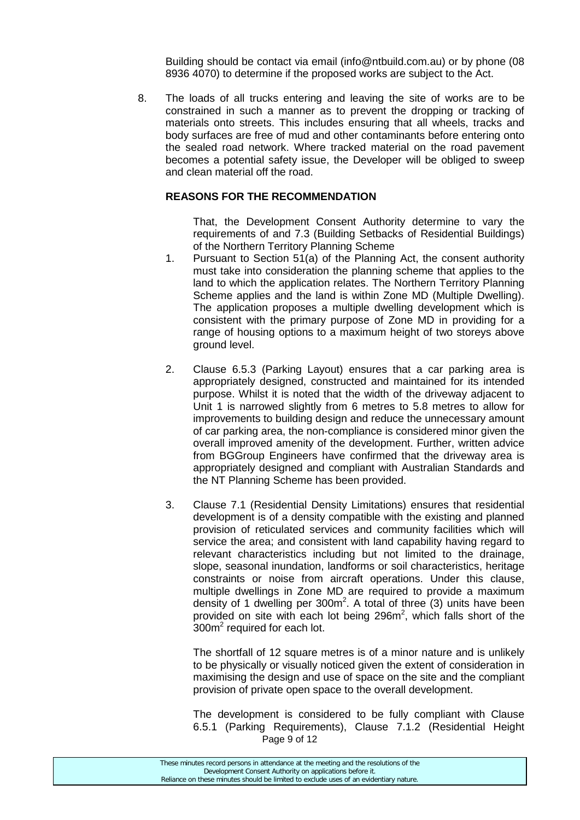Building should be contact via email (info@ntbuild.com.au) or by phone (08 8936 4070) to determine if the proposed works are subject to the Act.

8. The loads of all trucks entering and leaving the site of works are to be constrained in such a manner as to prevent the dropping or tracking of materials onto streets. This includes ensuring that all wheels, tracks and body surfaces are free of mud and other contaminants before entering onto the sealed road network. Where tracked material on the road pavement becomes a potential safety issue, the Developer will be obliged to sweep and clean material off the road.

#### **REASONS FOR THE RECOMMENDATION**

That, the Development Consent Authority determine to vary the requirements of and 7.3 (Building Setbacks of Residential Buildings) of the Northern Territory Planning Scheme

- 1. Pursuant to Section 51(a) of the Planning Act, the consent authority must take into consideration the planning scheme that applies to the land to which the application relates. The Northern Territory Planning Scheme applies and the land is within Zone MD (Multiple Dwelling). The application proposes a multiple dwelling development which is consistent with the primary purpose of Zone MD in providing for a range of housing options to a maximum height of two storeys above ground level.
- 2. Clause 6.5.3 (Parking Layout) ensures that a car parking area is appropriately designed, constructed and maintained for its intended purpose. Whilst it is noted that the width of the driveway adjacent to Unit 1 is narrowed slightly from 6 metres to 5.8 metres to allow for improvements to building design and reduce the unnecessary amount of car parking area, the non-compliance is considered minor given the overall improved amenity of the development. Further, written advice from BGGroup Engineers have confirmed that the driveway area is appropriately designed and compliant with Australian Standards and the NT Planning Scheme has been provided.
- 3. Clause 7.1 (Residential Density Limitations) ensures that residential development is of a density compatible with the existing and planned provision of reticulated services and community facilities which will service the area; and consistent with land capability having regard to relevant characteristics including but not limited to the drainage, slope, seasonal inundation, landforms or soil characteristics, heritage constraints or noise from aircraft operations. Under this clause, multiple dwellings in Zone MD are required to provide a maximum density of 1 dwelling per  $300m^2$ . A total of three (3) units have been provided on site with each lot being  $296m^2$ , which falls short of the  $300<sup>2</sup>$  required for each lot.

The shortfall of 12 square metres is of a minor nature and is unlikely to be physically or visually noticed given the extent of consideration in maximising the design and use of space on the site and the compliant provision of private open space to the overall development.

Page 9 of 12 The development is considered to be fully compliant with Clause 6.5.1 (Parking Requirements), Clause 7.1.2 (Residential Height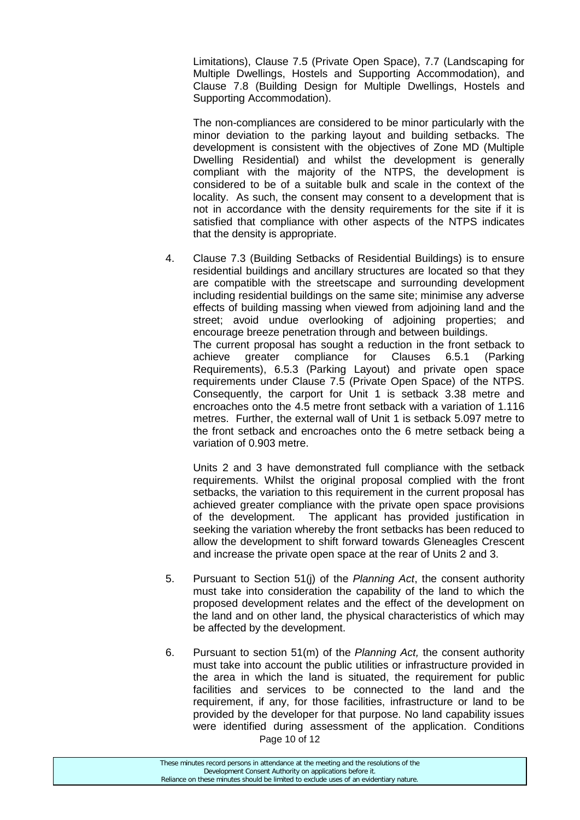Limitations), Clause 7.5 (Private Open Space), 7.7 (Landscaping for Multiple Dwellings, Hostels and Supporting Accommodation), and Clause 7.8 (Building Design for Multiple Dwellings, Hostels and Supporting Accommodation).

The non-compliances are considered to be minor particularly with the minor deviation to the parking layout and building setbacks. The development is consistent with the objectives of Zone MD (Multiple Dwelling Residential) and whilst the development is generally compliant with the majority of the NTPS, the development is considered to be of a suitable bulk and scale in the context of the locality. As such, the consent may consent to a development that is not in accordance with the density requirements for the site if it is satisfied that compliance with other aspects of the NTPS indicates that the density is appropriate.

4. Clause 7.3 (Building Setbacks of Residential Buildings) is to ensure residential buildings and ancillary structures are located so that they are compatible with the streetscape and surrounding development including residential buildings on the same site; minimise any adverse effects of building massing when viewed from adjoining land and the street; avoid undue overlooking of adjoining properties; and encourage breeze penetration through and between buildings. The current proposal has sought a reduction in the front setback to achieve greater compliance for Clauses 6.5.1 (Parking Requirements), 6.5.3 (Parking Layout) and private open space requirements under Clause 7.5 (Private Open Space) of the NTPS. Consequently, the carport for Unit 1 is setback 3.38 metre and encroaches onto the 4.5 metre front setback with a variation of 1.116 metres. Further, the external wall of Unit 1 is setback 5.097 metre to the front setback and encroaches onto the 6 metre setback being a variation of 0.903 metre.

Units 2 and 3 have demonstrated full compliance with the setback requirements. Whilst the original proposal complied with the front setbacks, the variation to this requirement in the current proposal has achieved greater compliance with the private open space provisions of the development. The applicant has provided justification in seeking the variation whereby the front setbacks has been reduced to allow the development to shift forward towards Gleneagles Crescent and increase the private open space at the rear of Units 2 and 3.

- 5. Pursuant to Section 51(j) of the *Planning Act*, the consent authority must take into consideration the capability of the land to which the proposed development relates and the effect of the development on the land and on other land, the physical characteristics of which may be affected by the development.
- Page 10 of 12 6. Pursuant to section 51(m) of the *Planning Act,* the consent authority must take into account the public utilities or infrastructure provided in the area in which the land is situated, the requirement for public facilities and services to be connected to the land and the requirement, if any, for those facilities, infrastructure or land to be provided by the developer for that purpose. No land capability issues were identified during assessment of the application. Conditions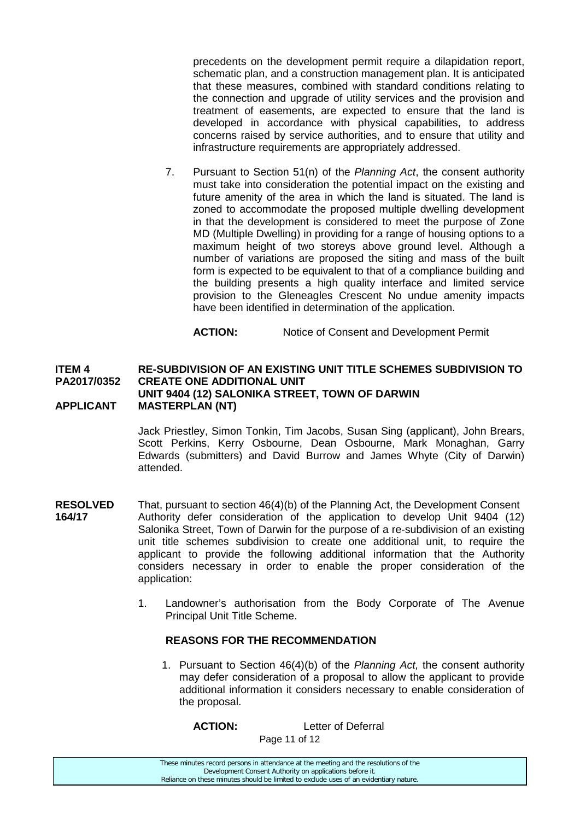precedents on the development permit require a dilapidation report, schematic plan, and a construction management plan. It is anticipated that these measures, combined with standard conditions relating to the connection and upgrade of utility services and the provision and treatment of easements, are expected to ensure that the land is developed in accordance with physical capabilities, to address concerns raised by service authorities, and to ensure that utility and infrastructure requirements are appropriately addressed.

7. Pursuant to Section 51(n) of the *Planning Act*, the consent authority must take into consideration the potential impact on the existing and future amenity of the area in which the land is situated. The land is zoned to accommodate the proposed multiple dwelling development in that the development is considered to meet the purpose of Zone MD (Multiple Dwelling) in providing for a range of housing options to a maximum height of two storeys above ground level. Although a number of variations are proposed the siting and mass of the built form is expected to be equivalent to that of a compliance building and the building presents a high quality interface and limited service provision to the Gleneagles Crescent No undue amenity impacts have been identified in determination of the application.

**ACTION:** Notice of Consent and Development Permit

#### **ITEM 4 RE-SUBDIVISION OF AN EXISTING UNIT TITLE SCHEMES SUBDIVISION TO PA2017/0352 CREATE ONE ADDITIONAL UNIT UNIT 9404 (12) SALONIKA STREET, TOWN OF DARWIN APPLICANT MASTERPLAN (NT)**

Jack Priestley, Simon Tonkin, Tim Jacobs, Susan Sing (applicant), John Brears, Scott Perkins, Kerry Osbourne, Dean Osbourne, Mark Monaghan, Garry Edwards (submitters) and David Burrow and James Whyte (City of Darwin) attended.

- **RESOLVED** That, pursuant to section 46(4)(b) of the Planning Act, the Development Consent<br>**164/17** Authority defer consideration of the application to develop Unit 9404 (12) **164/17** Authority defer consideration of the application to develop Unit 9404 (12) Salonika Street, Town of Darwin for the purpose of a re-subdivision of an existing unit title schemes subdivision to create one additional unit, to require the applicant to provide the following additional information that the Authority considers necessary in order to enable the proper consideration of the application:
	- 1. Landowner's authorisation from the Body Corporate of The Avenue Principal Unit Title Scheme.

#### **REASONS FOR THE RECOMMENDATION**

1. Pursuant to Section 46(4)(b) of the *Planning Act,* the consent authority may defer consideration of a proposal to allow the applicant to provide additional information it considers necessary to enable consideration of the proposal.

**ACTION:** Letter of Deferral

Page 11 of 12